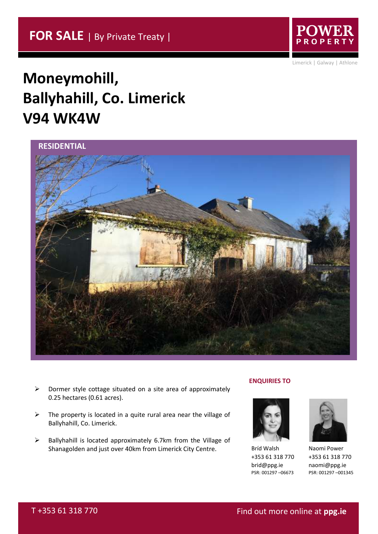

Limerick | Galway | Athlone

# **Moneymohill, Ballyhahill, Co. Limerick V94 WK4W**



- $\triangleright$  Dormer style cottage situated on a site area of approximately 0.25 hectares (0.61 acres).
- $\triangleright$  The property is located in a quite rural area near the village of Ballyhahill, Co. Limerick.
- ➢ Ballyhahill is located approximately 6.7km from the Village of Shanagolden and just over 40km from Limerick City Centre.

## **ENQUIRIES TO**



Bríd Walsh +353 61 318 770 brid@ppg.ie PSR: 001297 –06673



Naomi Power +353 61 318 770 naomi@ppg.ie PSR: 001297 –001345